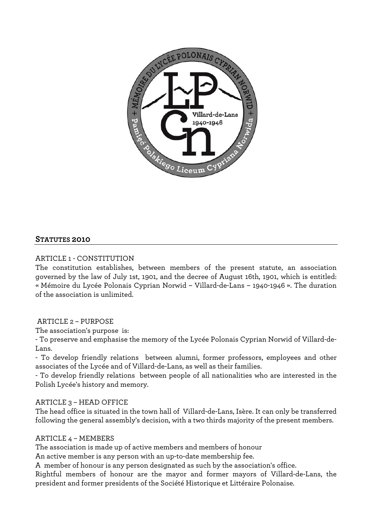

## **STATUTES 2010**

## ARTICLE 1 - CONSTITUTION

The constitution establishes, between members of the present statute, an association governed by the law of July 1st, 1901, and the decree of August 16th, 1901, which is entitled: « Mémoire du Lycée Polonais Cyprian Norwid – Villard-de-Lans – 1940-1946 ». The duration of the association is unlimited.

#### ARTICLE 2 – PURPOSE

The association's purpose is:

- To preserve and emphasise the memory of the Lycée Polonais Cyprian Norwid of Villard-de-Lans.

- To develop friendly relations between alumni, former professors, employees and other associates of the Lycée and of Villard-de-Lans, as well as their families.

- To develop friendly relations between people of all nationalities who are interested in the Polish Lycée's history and memory.

#### ARTICLE 3 – HEAD OFFICE

The head office is situated in the town hall of Villard-de-Lans, Isère. It can only be transferred following the general assembly's decision, with a two thirds majority of the present members.

#### ARTICLE 4 – MEMBERS

The association is made up of active members and members of honour

An active member is any person with an up-to-date membership fee.

A member of honour is any person designated as such by the association's office.

Rightful members of honour are the mayor and former mayors of Villard-de-Lans, the president and former presidents of the Société Historique et Littéraire Polonaise.